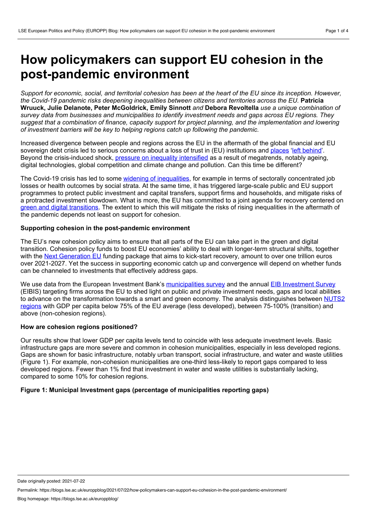# **How policymakers can support EU cohesion in the post-pandemic environment**

Support for economic, social, and territorial cohesion has been at the heart of the EU since its inception. However, *the Covid-19 pandemic risks deepening inequalities between citizens and territories across the EU.* **Patricia Wruuck, Julie Delanote, Peter McGoldrick, Emily Sinnott** *and* **Debora Revoltella** *use a unique combination of survey data from businesses and municipalities to identify investment needs and gaps across EU regions. They* suggest that a combination of finance, capacity support for project planning, and the implementation and lowering *of investment barriers will be key to helping regions catch up following the pandemic.*

Increased divergence between people and regions across the EU in the aftermath of the global financial and EU sovereign debt crisis led to serious concerns about a loss of trust in (EU) institutions and [places](https://voxeu.org/article/revenge-places-dont-matter) 'left [behind](https://voxeu.org/article/income-inequality-eu-trends-and-policy-implications)'. Beyond the crisis-induced shock, pressure on inequality [intensified](https://voxeu.org/article/testing-resilience-europe-s-inclusive-growth-model) as a result of megatrends, notably ageing, digital technologies, global competition and climate change and pollution. Can this time be different?

The Covid-19 crisis has led to some widening of [inequalities,](https://www.destatis.de/DE/Service/Statistik-Campus/teaser-datenreport-aktuell.html) for example in terms of sectorally concentrated job losses or health outcomes by social strata. At the same time, it has triggered large-scale public and EU support programmes to protect public investment and capital transfers, support firms and households, and mitigate risks of a protracted investment slowdown. What is more, the EU has committed to a joint agenda for recovery centered on green and digital [transitions.](https://ec.europa.eu/commission/presscorner/detail/en/SPEECH_20_1655) The extent to which this will mitigate the risks of rising inequalities in the aftermath of the pandemic depends not least on support for cohesion.

### **Supporting cohesion in the post-pandemic environment**

The EU's new cohesion policy aims to ensure that all parts of the EU can take part in the green and digital transition. Cohesion policy funds to boost EU economies' ability to deal with longer-term structural shifts, together with the Next [Generation](https://blogs.lse.ac.uk/europpblog/2020/10/07/assessing-next-generation-eu/) EU funding package that aims to kick-start recovery, amount to over one trillion euros over 2021-2027. Yet the success in supporting economic catch up and convergence will depend on whether funds can be channeled to investments that effectively address gaps.

We use data from the European Investment Bank's [municipalities](https://www.eib.org/en/publications/the-state-of-local-infrastructure-investment-in-europe) survey and the annual EIB [Investment](https://www.eib.org/en/publications-research/economics/surveys-data/eibis/index.htm?sortColumn=startDate&sortDir=desc&pageNumber=0&itemPerPage=10&pageable=true&language=EN&defaultLanguage=EN&tags=5bf8095afa70f13f9d3b51b3&ortags=true&orCountries=true) Survey (EIBIS) targeting firms across the EU to shed light on public and private investment needs, gaps and local abilities to advance on the [transformation](https://ec.europa.eu/eurostat/web/nuts/background) towards a smart and green economy. The analysis distinguishes between NUTS2 regions with GDP per capita below 75% of the EU average (less developed), between 75-100% (transition) and above (non-cohesion regions).

# **How are cohesion regions positioned?**

Our results show that lower GDP per capita levels tend to coincide with less adequate investment levels. Basic infrastructure gaps are more severe and common in cohesion municipalities, especially in less developed regions. Gaps are shown for basic infrastructure, notably urban transport, social infrastructure, and water and waste utilities (Figure 1). For example, non-cohesion municipalities are one-third less-likely to report gaps compared to less developed regions. Fewer than 1% find that investment in water and waste utilities is substantially lacking, compared to some 10% for cohesion regions.

# **Figure 1: Municipal Investment gaps (percentage of municipalities reporting gaps)**

Date originally posted: 2021-07-22

Permalink: https://blogs.lse.ac.uk/europpblog/2021/07/22/how-policymakers-can-support-eu-cohesion-in-the-post-pandemic-environment/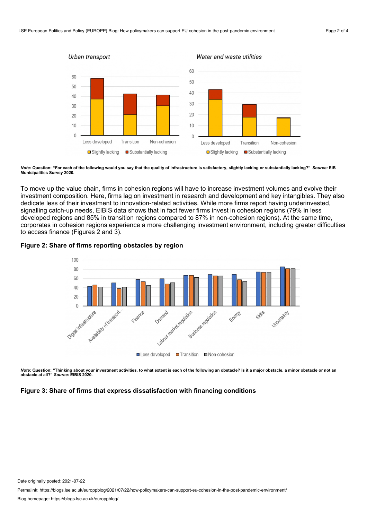

Note: Question: "For each of the following would you say that the quality of infrastructure is satisfactory, slightly lacking or substantially lacking?" Source: EIB **Municipalities Survey 2020.**

To move up the value chain, firms in cohesion regions will have to increase investment volumes and evolve their investment composition. Here, firms lag on investment in research and development and key intangibles. They also dedicate less of their investment to innovation-related activities. While more firms report having underinvested, signalling catch-up needs, EIBIS data shows that in fact fewer firms invest in cohesion regions (79% in less developed regions and 85% in transition regions compared to 87% in non-cohesion regions). At the same time, corporates in cohesion regions experience a more challenging investment environment, including greater difficulties to access finance (Figures 2 and 3).





*Note:* Question: "Thinking about your investment activities, to what extent is each of the following an obstacle? Is it a major obstacle, a minor obstacle or not an<br>obstacle at all?" *Source:* EIBIS 2020.

#### **Figure 3: Share of firms that express dissatisfaction with financing conditions**

Permalink: https://blogs.lse.ac.uk/europpblog/2021/07/22/how-policymakers-can-support-eu-cohesion-in-the-post-pandemic-environment/

Date originally posted: 2021-07-22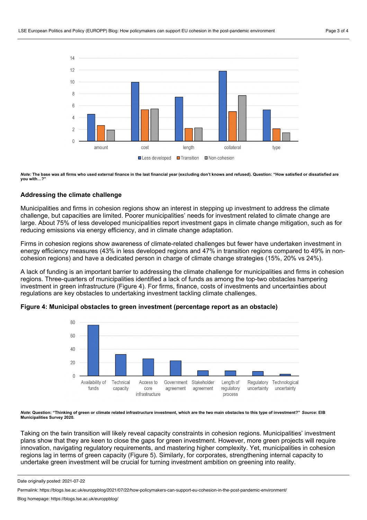

Note: The base was all firms who used external finance in the last financial year (excluding don't knows and refused). Question: "How satisfied or dissatisfied are **you with…?"**

#### **Addressing the climate challenge**

Municipalities and firms in cohesion regions show an interest in stepping up investment to address the climate challenge, but capacities are limited. Poorer municipalities' needs for investment related to climate change are large. About 75% of less developed municipalities report investment gaps in climate change mitigation, such as for reducing emissions via energy efficiency, and in climate change adaptation.

Firms in cohesion regions show awareness of climate-related challenges but fewer have undertaken investment in energy efficiency measures (43% in less developed regions and 47% in transition regions compared to 49% in noncohesion regions) and have a dedicated person in charge of climate change strategies (15%, 20% vs 24%).

A lack of funding is an important barrier to addressing the climate challenge for municipalities and firms in cohesion regions. Three-quarters of municipalities identified a lack of funds as among the top-two obstacles hampering investment in green infrastructure (Figure 4). For firms, finance, costs of investments and uncertainties about regulations are key obstacles to undertaking investment tackling climate challenges.



#### **Figure 4: Municipal obstacles to green investment (percentage report as an obstacle)**

Note: Question: "Thinking of green or climate related infrastructure investment, which are the two main obstacles to this type of investment?" Source: EIB **Municipalities Survey 2020.**

Taking on the twin transition will likely reveal capacity constraints in cohesion regions. Municipalities' investment plans show that they are keen to close the gaps for green investment. However, more green projects will require innovation, navigating regulatory requirements, and mastering higher complexity. Yet, municipalities in cohesion regions lag in terms of green capacity (Figure 5). Similarly, for corporates, strengthening internal capacity to undertake green investment will be crucial for turning investment ambition on greening into reality.

Date originally posted: 2021-07-22

Permalink: https://blogs.lse.ac.uk/europpblog/2021/07/22/how-policymakers-can-support-eu-cohesion-in-the-post-pandemic-environment/